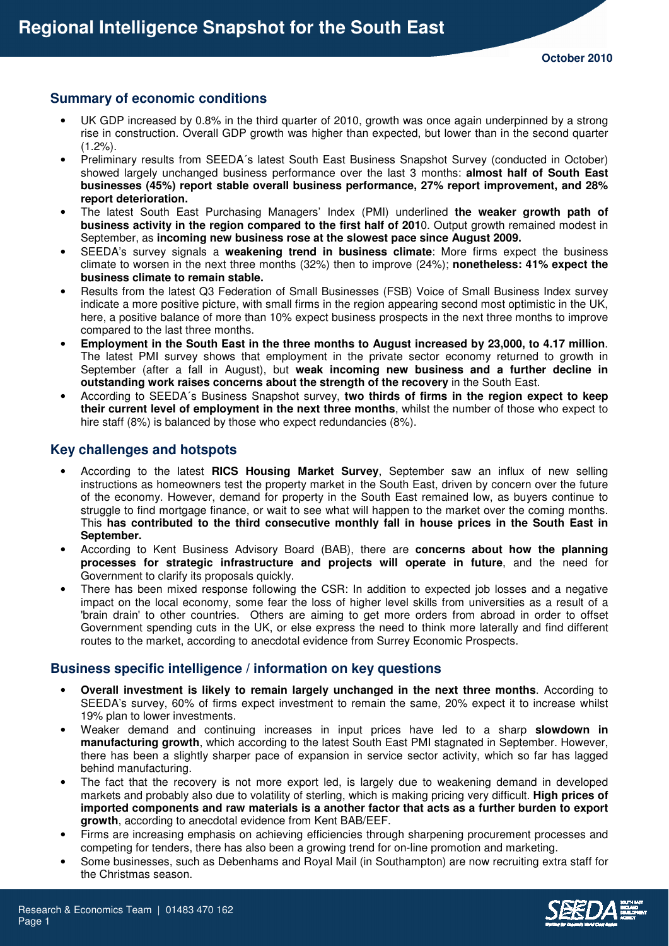## **Summary of economic conditions**

- UK GDP increased by 0.8% in the third quarter of 2010, growth was once again underpinned by a strong rise in construction. Overall GDP growth was higher than expected, but lower than in the second quarter  $(1.2\%)$ .
- Preliminary results from SEEDA´s latest South East Business Snapshot Survey (conducted in October) showed largely unchanged business performance over the last 3 months: **almost half of South East businesses (45%) report stable overall business performance, 27% report improvement, and 28% report deterioration.**
- The latest South East Purchasing Managers' Index (PMI) underlined **the weaker growth path of business activity in the region compared to the first half of 201**0. Output growth remained modest in September, as **incoming new business rose at the slowest pace since August 2009.**
- SEEDA's survey signals a **weakening trend in business climate**: More firms expect the business climate to worsen in the next three months (32%) then to improve (24%); **nonetheless: 41% expect the business climate to remain stable.**
- Results from the latest Q3 Federation of Small Businesses (FSB) Voice of Small Business Index survey indicate a more positive picture, with small firms in the region appearing second most optimistic in the UK, here, a positive balance of more than 10% expect business prospects in the next three months to improve compared to the last three months.
- **Employment in the South East in the three months to August increased by 23,000, to 4.17 million**. The latest PMI survey shows that employment in the private sector economy returned to growth in September (after a fall in August), but **weak incoming new business and a further decline in outstanding work raises concerns about the strength of the recovery** in the South East.
- According to SEEDA´s Business Snapshot survey, **two thirds of firms in the region expect to keep their current level of employment in the next three months**, whilst the number of those who expect to hire staff (8%) is balanced by those who expect redundancies (8%).

### **Key challenges and hotspots**

- According to the latest **RICS Housing Market Survey**, September saw an influx of new selling instructions as homeowners test the property market in the South East, driven by concern over the future of the economy. However, demand for property in the South East remained low, as buyers continue to struggle to find mortgage finance, or wait to see what will happen to the market over the coming months. This **has contributed to the third consecutive monthly fall in house prices in the South East in September.**
- According to Kent Business Advisory Board (BAB), there are **concerns about how the planning processes for strategic infrastructure and projects will operate in future**, and the need for Government to clarify its proposals quickly.
- There has been mixed response following the CSR: In addition to expected job losses and a negative impact on the local economy, some fear the loss of higher level skills from universities as a result of a 'brain drain' to other countries. Others are aiming to get more orders from abroad in order to offset Government spending cuts in the UK, or else express the need to think more laterally and find different routes to the market, according to anecdotal evidence from Surrey Economic Prospects.

# **Business specific intelligence / information on key questions**

- **Overall investment is likely to remain largely unchanged in the next three months**. According to SEEDA's survey, 60% of firms expect investment to remain the same, 20% expect it to increase whilst 19% plan to lower investments.
- Weaker demand and continuing increases in input prices have led to a sharp **slowdown in manufacturing growth**, which according to the latest South East PMI stagnated in September. However, there has been a slightly sharper pace of expansion in service sector activity, which so far has lagged behind manufacturing.
- The fact that the recovery is not more export led, is largely due to weakening demand in developed markets and probably also due to volatility of sterling, which is making pricing very difficult. **High prices of imported components and raw materials is a another factor that acts as a further burden to export growth**, according to anecdotal evidence from Kent BAB/EEF.
- Firms are increasing emphasis on achieving efficiencies through sharpening procurement processes and competing for tenders, there has also been a growing trend for on-line promotion and marketing.
- Some businesses, such as Debenhams and Royal Mail (in Southampton) are now recruiting extra staff for the Christmas season.

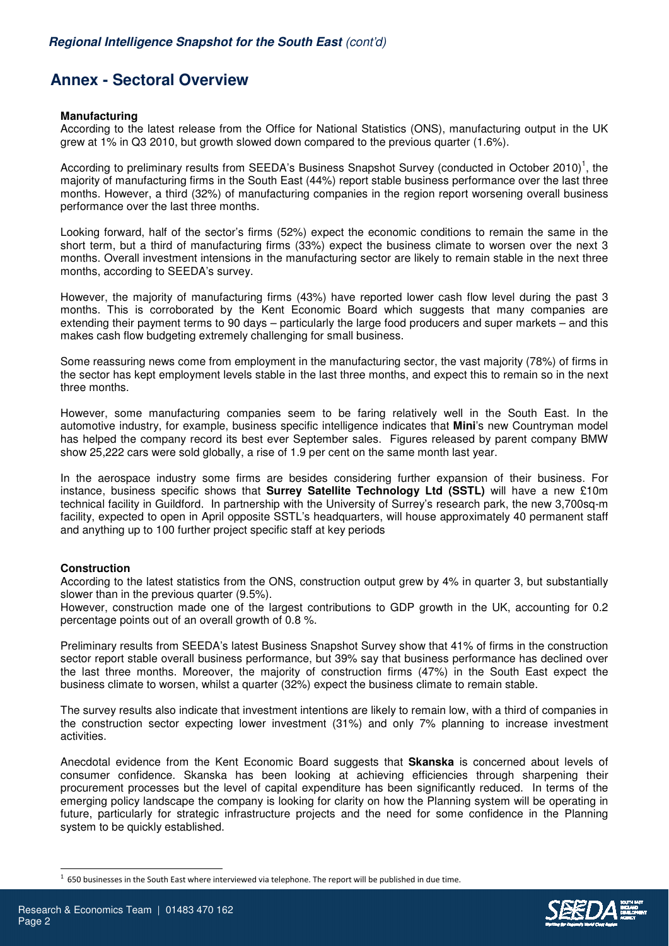# **Annex - Sectoral Overview**

### **Manufacturing**

According to the latest release from the Office for National Statistics (ONS), manufacturing output in the UK grew at 1% in Q3 2010, but growth slowed down compared to the previous quarter (1.6%).

According to preliminary results from SEEDA's Business Snapshot Survey (conducted in October 2010)<sup>1</sup>, the majority of manufacturing firms in the South East (44%) report stable business performance over the last three months. However, a third (32%) of manufacturing companies in the region report worsening overall business performance over the last three months.

Looking forward, half of the sector's firms (52%) expect the economic conditions to remain the same in the short term, but a third of manufacturing firms (33%) expect the business climate to worsen over the next 3 months. Overall investment intensions in the manufacturing sector are likely to remain stable in the next three months, according to SEEDA's survey.

However, the majority of manufacturing firms (43%) have reported lower cash flow level during the past 3 months. This is corroborated by the Kent Economic Board which suggests that many companies are extending their payment terms to 90 days – particularly the large food producers and super markets – and this makes cash flow budgeting extremely challenging for small business.

Some reassuring news come from employment in the manufacturing sector, the vast majority (78%) of firms in the sector has kept employment levels stable in the last three months, and expect this to remain so in the next three months.

However, some manufacturing companies seem to be faring relatively well in the South East. In the automotive industry, for example, business specific intelligence indicates that **Mini**'s new Countryman model has helped the company record its best ever September sales. Figures released by parent company BMW show 25,222 cars were sold globally, a rise of 1.9 per cent on the same month last year.

In the aerospace industry some firms are besides considering further expansion of their business. For instance, business specific shows that **Surrey Satellite Technology Ltd (SSTL)** will have a new £10m technical facility in Guildford. In partnership with the University of Surrey's research park, the new 3,700sq-m facility, expected to open in April opposite SSTL's headquarters, will house approximately 40 permanent staff and anything up to 100 further project specific staff at key periods

### **Construction**

According to the latest statistics from the ONS, construction output grew by 4% in quarter 3, but substantially slower than in the previous quarter (9.5%).

However, construction made one of the largest contributions to GDP growth in the UK, accounting for 0.2 percentage points out of an overall growth of 0.8 %.

Preliminary results from SEEDA's latest Business Snapshot Survey show that 41% of firms in the construction sector report stable overall business performance, but 39% say that business performance has declined over the last three months. Moreover, the majority of construction firms (47%) in the South East expect the business climate to worsen, whilst a quarter (32%) expect the business climate to remain stable.

The survey results also indicate that investment intentions are likely to remain low, with a third of companies in the construction sector expecting lower investment (31%) and only 7% planning to increase investment activities.

Anecdotal evidence from the Kent Economic Board suggests that **Skanska** is concerned about levels of consumer confidence. Skanska has been looking at achieving efficiencies through sharpening their procurement processes but the level of capital expenditure has been significantly reduced. In terms of the emerging policy landscape the company is looking for clarity on how the Planning system will be operating in future, particularly for strategic infrastructure projects and the need for some confidence in the Planning system to be quickly established.

L

 $<sup>1</sup>$  650 businesses in the South East where interviewed via telephone. The report will be published in due time.</sup>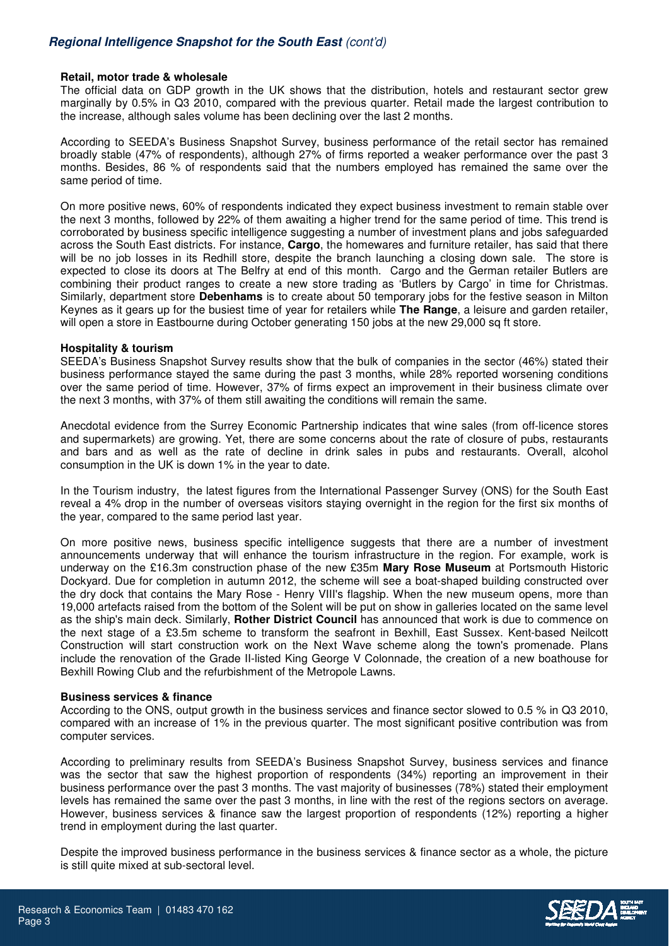## **Regional Intelligence Snapshot for the South East** (cont'd)

#### **Retail, motor trade & wholesale**

The official data on GDP growth in the UK shows that the distribution, hotels and restaurant sector grew marginally by 0.5% in Q3 2010, compared with the previous quarter. Retail made the largest contribution to the increase, although sales volume has been declining over the last 2 months.

According to SEEDA's Business Snapshot Survey, business performance of the retail sector has remained broadly stable (47% of respondents), although 27% of firms reported a weaker performance over the past 3 months. Besides, 86 % of respondents said that the numbers employed has remained the same over the same period of time.

On more positive news, 60% of respondents indicated they expect business investment to remain stable over the next 3 months, followed by 22% of them awaiting a higher trend for the same period of time. This trend is corroborated by business specific intelligence suggesting a number of investment plans and jobs safeguarded across the South East districts. For instance, **Cargo**, the homewares and furniture retailer, has said that there will be no job losses in its Redhill store, despite the branch launching a closing down sale. The store is expected to close its doors at The Belfry at end of this month. Cargo and the German retailer Butlers are combining their product ranges to create a new store trading as 'Butlers by Cargo' in time for Christmas. Similarly, department store **Debenhams** is to create about 50 temporary jobs for the festive season in Milton Keynes as it gears up for the busiest time of year for retailers while **The Range**, a leisure and garden retailer, will open a store in Eastbourne during October generating 150 jobs at the new 29,000 sq ft store.

#### **Hospitality & tourism**

SEEDA's Business Snapshot Survey results show that the bulk of companies in the sector (46%) stated their business performance stayed the same during the past 3 months, while 28% reported worsening conditions over the same period of time. However, 37% of firms expect an improvement in their business climate over the next 3 months, with 37% of them still awaiting the conditions will remain the same.

Anecdotal evidence from the Surrey Economic Partnership indicates that wine sales (from off-licence stores and supermarkets) are growing. Yet, there are some concerns about the rate of closure of pubs, restaurants and bars and as well as the rate of decline in drink sales in pubs and restaurants. Overall, alcohol consumption in the UK is down 1% in the year to date.

In the Tourism industry, the latest figures from the International Passenger Survey (ONS) for the South East reveal a 4% drop in the number of overseas visitors staying overnight in the region for the first six months of the year, compared to the same period last year.

On more positive news, business specific intelligence suggests that there are a number of investment announcements underway that will enhance the tourism infrastructure in the region. For example, work is underway on the £16.3m construction phase of the new £35m **Mary Rose Museum** at Portsmouth Historic Dockyard. Due for completion in autumn 2012, the scheme will see a boat-shaped building constructed over the dry dock that contains the Mary Rose - Henry VIII's flagship. When the new museum opens, more than 19,000 artefacts raised from the bottom of the Solent will be put on show in galleries located on the same level as the ship's main deck. Similarly, **Rother District Council** has announced that work is due to commence on the next stage of a £3.5m scheme to transform the seafront in Bexhill, East Sussex. Kent-based Neilcott Construction will start construction work on the Next Wave scheme along the town's promenade. Plans include the renovation of the Grade II-listed King George V Colonnade, the creation of a new boathouse for Bexhill Rowing Club and the refurbishment of the Metropole Lawns.

#### **Business services & finance**

According to the ONS, output growth in the business services and finance sector slowed to 0.5 % in Q3 2010, compared with an increase of 1% in the previous quarter. The most significant positive contribution was from computer services.

According to preliminary results from SEEDA's Business Snapshot Survey, business services and finance was the sector that saw the highest proportion of respondents (34%) reporting an improvement in their business performance over the past 3 months. The vast majority of businesses (78%) stated their employment levels has remained the same over the past 3 months, in line with the rest of the regions sectors on average. However, business services & finance saw the largest proportion of respondents (12%) reporting a higher trend in employment during the last quarter.

Despite the improved business performance in the business services & finance sector as a whole, the picture is still quite mixed at sub-sectoral level.

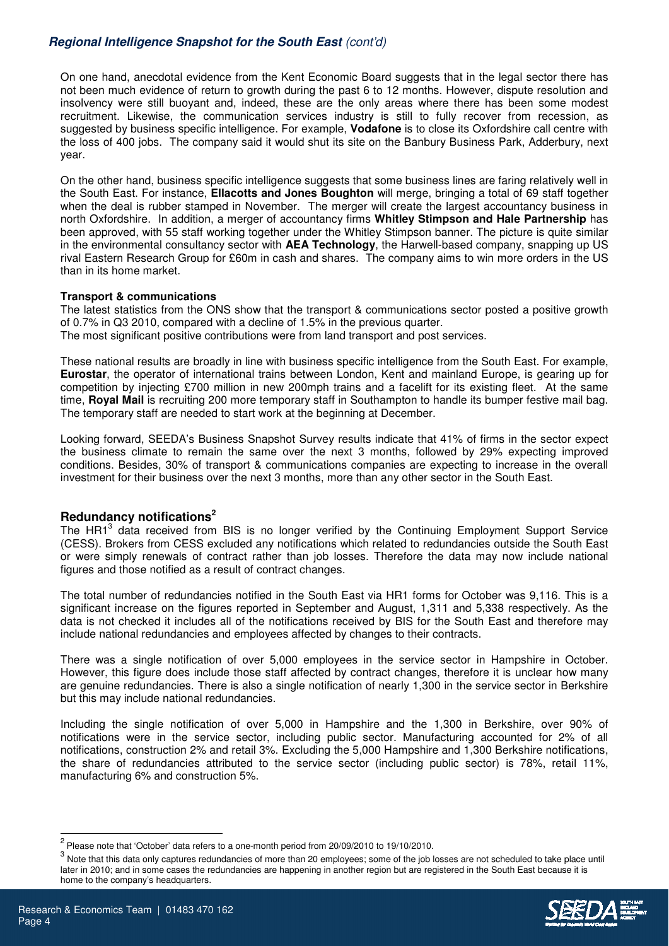# **Regional Intelligence Snapshot for the South East** (cont'd)

On one hand, anecdotal evidence from the Kent Economic Board suggests that in the legal sector there has not been much evidence of return to growth during the past 6 to 12 months. However, dispute resolution and insolvency were still buoyant and, indeed, these are the only areas where there has been some modest recruitment. Likewise, the communication services industry is still to fully recover from recession, as suggested by business specific intelligence. For example, **Vodafone** is to close its Oxfordshire call centre with the loss of 400 jobs. The company said it would shut its site on the Banbury Business Park, Adderbury, next year.

On the other hand, business specific intelligence suggests that some business lines are faring relatively well in the South East. For instance, **Ellacotts and Jones Boughton** will merge, bringing a total of 69 staff together when the deal is rubber stamped in November. The merger will create the largest accountancy business in north Oxfordshire. In addition, a merger of accountancy firms **Whitley Stimpson and Hale Partnership** has been approved, with 55 staff working together under the Whitley Stimpson banner. The picture is quite similar in the environmental consultancy sector with **AEA Technology**, the Harwell-based company, snapping up US rival Eastern Research Group for £60m in cash and shares. The company aims to win more orders in the US than in its home market.

### **Transport & communications**

The latest statistics from the ONS show that the transport & communications sector posted a positive growth of 0.7% in Q3 2010, compared with a decline of 1.5% in the previous quarter. The most significant positive contributions were from land transport and post services.

These national results are broadly in line with business specific intelligence from the South East. For example, **Eurostar**, the operator of international trains between London, Kent and mainland Europe, is gearing up for competition by injecting £700 million in new 200mph trains and a facelift for its existing fleet. At the same time, **Royal Mail** is recruiting 200 more temporary staff in Southampton to handle its bumper festive mail bag. The temporary staff are needed to start work at the beginning at December.

Looking forward, SEEDA's Business Snapshot Survey results indicate that 41% of firms in the sector expect the business climate to remain the same over the next 3 months, followed by 29% expecting improved conditions. Besides, 30% of transport & communications companies are expecting to increase in the overall investment for their business over the next 3 months, more than any other sector in the South East.

### **Redundancy notifications<sup>2</sup>**

The HR1<sup>3</sup> data received from BIS is no longer verified by the Continuing Employment Support Service (CESS). Brokers from CESS excluded any notifications which related to redundancies outside the South East or were simply renewals of contract rather than job losses. Therefore the data may now include national figures and those notified as a result of contract changes.

The total number of redundancies notified in the South East via HR1 forms for October was 9,116. This is a significant increase on the figures reported in September and August, 1,311 and 5,338 respectively. As the data is not checked it includes all of the notifications received by BIS for the South East and therefore may include national redundancies and employees affected by changes to their contracts.

There was a single notification of over 5,000 employees in the service sector in Hampshire in October. However, this figure does include those staff affected by contract changes, therefore it is unclear how many are genuine redundancies. There is also a single notification of nearly 1,300 in the service sector in Berkshire but this may include national redundancies.

Including the single notification of over 5,000 in Hampshire and the 1,300 in Berkshire, over 90% of notifications were in the service sector, including public sector. Manufacturing accounted for 2% of all notifications, construction 2% and retail 3%. Excluding the 5,000 Hampshire and 1,300 Berkshire notifications, the share of redundancies attributed to the service sector (including public sector) is 78%, retail 11%, manufacturing 6% and construction 5%.

 $^3$  Note that this data only captures redundancies of more than 20 employees; some of the job losses are not scheduled to take place until later in 2010; and in some cases the redundancies are happening in another region but are registered in the South East because it is home to the company's headquarters.



l

 $2$  Please note that 'October' data refers to a one-month period from 20/09/2010 to 19/10/2010.